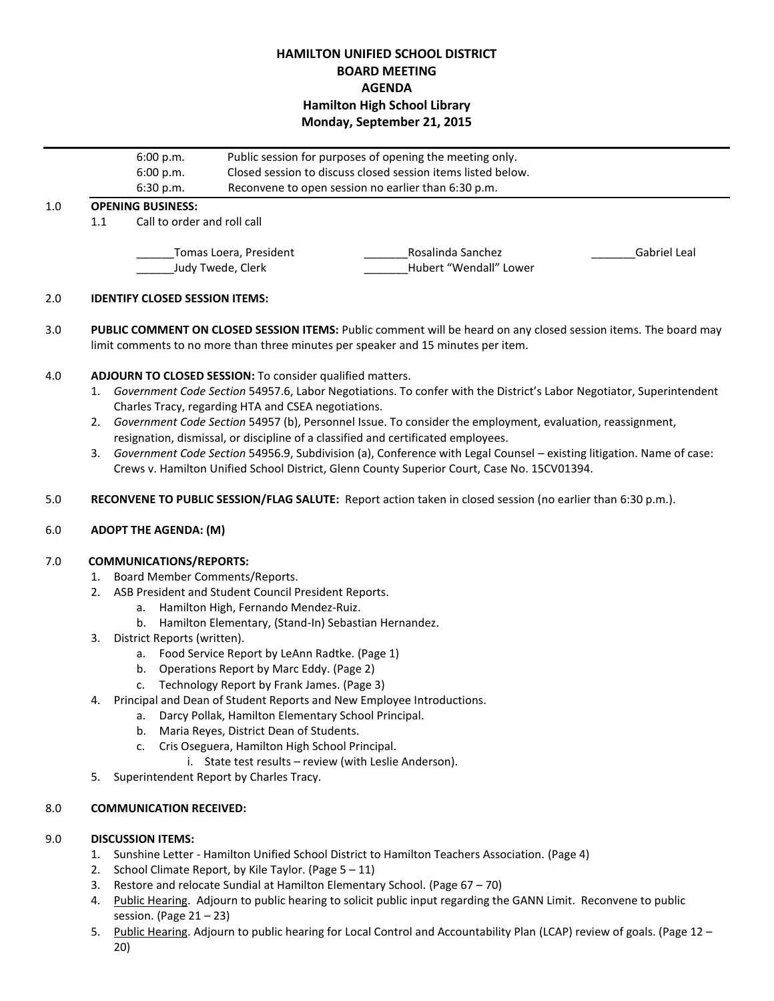# **HAMILTON UNIFIED SCHOOL DISTRICT BOARD MEETING AGENDA Hamilton High School Library Monday, September 21, 2015**

|     |                          | 6:00 p.m.<br>6:00 p.m.                                           | Public session for purposes of opening the meeting only.<br>Closed session to discuss closed session items listed below. |                                             |              |  |  |
|-----|--------------------------|------------------------------------------------------------------|--------------------------------------------------------------------------------------------------------------------------|---------------------------------------------|--------------|--|--|
|     |                          | Reconvene to open session no earlier than 6:30 p.m.<br>6:30 p.m. |                                                                                                                          |                                             |              |  |  |
| 1.0 | <b>OPENING BUSINESS:</b> |                                                                  |                                                                                                                          |                                             |              |  |  |
|     | 1.1                      | Call to order and roll call                                      |                                                                                                                          |                                             |              |  |  |
|     |                          | Tomas Loera, President<br>Judy Twede, Clerk                      |                                                                                                                          | Rosalinda Sanchez<br>Hubert "Wendall" Lower | Gabriel Leal |  |  |

### 2.0 **IDENTIFY CLOSED SESSION ITEMS:**

3.0 **PUBLIC COMMENT ON CLOSED SESSION ITEMS:** Public comment will be heard on any closed session items. The board may limit comments to no more than three minutes per speaker and 15 minutes per item.

### 4.0 **ADJOURN TO CLOSED SESSION:** To consider qualified matters.

- 1. *Government Code Section* 54957.6, Labor Negotiations. To confer with the District's Labor Negotiator, Superintendent Charles Tracy, regarding HTA and CSEA negotiations.
- 2. *Government Code Section* 54957 (b), Personnel Issue. To consider the employment, evaluation, reassignment, resignation, dismissal, or discipline of a classified and certificated employees.
- 3. *Government Code Section* 54956.9, Subdivision (a), Conference with Legal Counsel existing litigation. Name of case: Crews v. Hamilton Unified School District, Glenn County Superior Court, Case No. 15CV01394.
- 5.0 **RECONVENE TO PUBLIC SESSION/FLAG SALUTE:** Report action taken in closed session (no earlier than 6:30 p.m.).

### 6.0 **ADOPT THE AGENDA: (M)**

#### 7.0 **COMMUNICATIONS/REPORTS:**

- 1. Board Member Comments/Reports.
- 2. ASB President and Student Council President Reports.
	- a. Hamilton High, Fernando Mendez-Ruiz.
	- b. Hamilton Elementary, (Stand-In) Sebastian Hernandez.
- 3. District Reports (written).
	- a. Food Service Report by LeAnn Radtke. (Page 1)
	- b. Operations Report by Marc Eddy. (Page 2)
	- c. Technology Report by Frank James. (Page 3)
- 4. Principal and Dean of Student Reports and New Employee Introductions.
	- a. Darcy Pollak, Hamilton Elementary School Principal.
	- b. Maria Reyes, District Dean of Students.
	- c. Cris Oseguera, Hamilton High School Principal.
		- i. State test results review (with Leslie Anderson).
- 5. Superintendent Report by Charles Tracy.

### 8.0 **COMMUNICATION RECEIVED:**

#### 9.0 **DISCUSSION ITEMS:**

- 1. Sunshine Letter Hamilton Unified School District to Hamilton Teachers Association. (Page 4)
- 2. School Climate Report, by Kile Taylor. (Page  $5 11$ )
- 3. Restore and relocate Sundial at Hamilton Elementary School. (Page 67 70)
- 4. Public Hearing. Adjourn to public hearing to solicit public input regarding the GANN Limit. Reconvene to public session. (Page  $21 - 23$ )
- 5. Public Hearing. Adjourn to public hearing for Local Control and Accountability Plan (LCAP) review of goals. (Page 12 -20)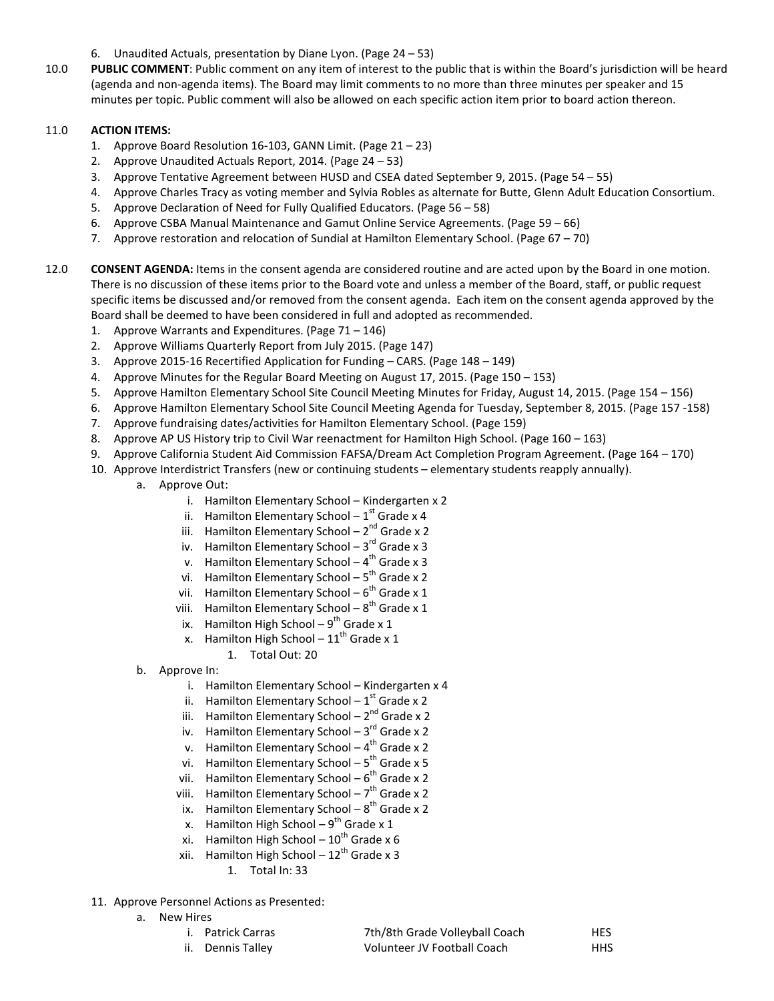- 6. Unaudited Actuals, presentation by Diane Lyon. (Page 24 53)
- 10.0 **PUBLIC COMMENT**: Public comment on any item of interest to the public that is within the Board's jurisdiction will be heard (agenda and non-agenda items). The Board may limit comments to no more than three minutes per speaker and 15 minutes per topic. Public comment will also be allowed on each specific action item prior to board action thereon.

### 11.0 **ACTION ITEMS:**

- 1. Approve Board Resolution 16-103, GANN Limit. (Page 21 23)
- 2. Approve Unaudited Actuals Report, 2014. (Page 24 53)
- 3. Approve Tentative Agreement between HUSD and CSEA dated September 9, 2015. (Page 54 55)
- 4. Approve Charles Tracy as voting member and Sylvia Robles as alternate for Butte, Glenn Adult Education Consortium.
- 5. Approve Declaration of Need for Fully Qualified Educators. (Page 56 58)
- 6. Approve CSBA Manual Maintenance and Gamut Online Service Agreements. (Page 59 66)
- 7. Approve restoration and relocation of Sundial at Hamilton Elementary School. (Page 67 70)
- 12.0 **CONSENT AGENDA:** Items in the consent agenda are considered routine and are acted upon by the Board in one motion. There is no discussion of these items prior to the Board vote and unless a member of the Board, staff, or public request specific items be discussed and/or removed from the consent agenda. Each item on the consent agenda approved by the Board shall be deemed to have been considered in full and adopted as recommended.
	- 1. Approve Warrants and Expenditures. (Page 71 146)
	- 2. Approve Williams Quarterly Report from July 2015. (Page 147)
	- 3. Approve 2015-16 Recertified Application for Funding CARS. (Page 148 149)
	- 4. Approve Minutes for the Regular Board Meeting on August 17, 2015. (Page 150 153)
	- 5. Approve Hamilton Elementary School Site Council Meeting Minutes for Friday, August 14, 2015. (Page 154 156)
	- 6. Approve Hamilton Elementary School Site Council Meeting Agenda for Tuesday, September 8, 2015. (Page 157 -158)
	- 7. Approve fundraising dates/activities for Hamilton Elementary School. (Page 159)
	- 8. Approve AP US History trip to Civil War reenactment for Hamilton High School. (Page 160 163)
	- 9. Approve California Student Aid Commission FAFSA/Dream Act Completion Program Agreement. (Page 164 170)
	- 10. Approve Interdistrict Transfers (new or continuing students elementary students reapply annually).
		- a. Approve Out:
			- i. Hamilton Elementary School Kindergarten x 2
			- ii. Hamilton Elementary School  $1^{\text{st}}$  Grade x 4
			- iii. Hamilton Elementary School 2<sup>nd</sup> Grade x 2
			- iv. Hamilton Elementary School 3<sup>rd</sup> Grade x 3
			- v. Hamilton Elementary School 4<sup>th</sup> Grade x 3
			- vi. Hamilton Elementary School 5<sup>th</sup> Grade x 2
			- vii. Hamilton Elementary School  $6^{th}$  Grade x 1
			- viii. Hamilton Elementary School  $8^{th}$  Grade x 1
			- ix. Hamilton High School  $9^{th}$  Grade x 1
			- x. Hamilton High School  $11^{\text{th}}$  Grade x 1
				- 1. Total Out: 20
		- b. Approve In:
			- i. Hamilton Elementary School Kindergarten x 4
			- ii. Hamilton Elementary School  $1^{\text{st}}$  Grade x 2
			- iii. Hamilton Elementary School 2<sup>nd</sup> Grade x 2
			- iv. Hamilton Elementary School 3<sup>rd</sup> Grade x 2
			- v. Hamilton Elementary School 4<sup>th</sup> Grade x 2
			- vi. Hamilton Elementary School 5<sup>th</sup> Grade x 5
			- vii. Hamilton Elementary School 6<sup>th</sup> Grade x 2
			- viii. Hamilton Elementary School 7<sup>th</sup> Grade x 2
			- ix. Hamilton Elementary School  $8^{th}$  Grade x 2
			- x. Hamilton High School  $9^{th}$  Grade x 1
			- xi. Hamilton High School  $10^{\text{th}}$  Grade x 6
			- xii. Hamilton High School  $12^{\text{th}}$  Grade x 3 1. Total In: 33
	- 11. Approve Personnel Actions as Presented:
		- a. New Hires
			- i. Patrick Carras Th/8th Grade Volleyball Coach HES ii. Dennis Talley Volunteer JV Football Coach HHS
			-